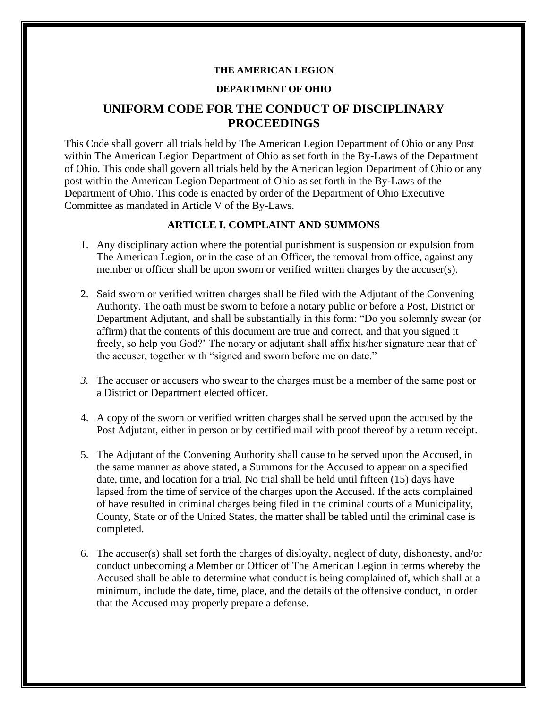#### **THE AMERICAN LEGION**

### **DEPARTMENT OF OHIO**

# **UNIFORM CODE FOR THE CONDUCT OF DISCIPLINARY PROCEEDINGS**

This Code shall govern all trials held by The American Legion Department of Ohio or any Post within The American Legion Department of Ohio as set forth in the By-Laws of the Department of Ohio. This code shall govern all trials held by the American legion Department of Ohio or any post within the American Legion Department of Ohio as set forth in the By-Laws of the Department of Ohio. This code is enacted by order of the Department of Ohio Executive Committee as mandated in Article V of the By-Laws.

#### **ARTICLE I. COMPLAINT AND SUMMONS**

- 1. Any disciplinary action where the potential punishment is suspension or expulsion from The American Legion, or in the case of an Officer, the removal from office, against any member or officer shall be upon sworn or verified written charges by the accuser(s).
- 2. Said sworn or verified written charges shall be filed with the Adjutant of the Convening Authority. The oath must be sworn to before a notary public or before a Post, District or Department Adjutant, and shall be substantially in this form: "Do you solemnly swear (or affirm) that the contents of this document are true and correct, and that you signed it freely, so help you God?' The notary or adjutant shall affix his/her signature near that of the accuser, together with "signed and sworn before me on date."
- *3.* The accuser or accusers who swear to the charges must be a member of the same post or a District or Department elected officer.
- 4. A copy of the sworn or verified written charges shall be served upon the accused by the Post Adjutant, either in person or by certified mail with proof thereof by a return receipt.
- 5. The Adjutant of the Convening Authority shall cause to be served upon the Accused, in the same manner as above stated, a Summons for the Accused to appear on a specified date, time, and location for a trial. No trial shall be held until fifteen (15) days have lapsed from the time of service of the charges upon the Accused. If the acts complained of have resulted in criminal charges being filed in the criminal courts of a Municipality, County, State or of the United States, the matter shall be tabled until the criminal case is completed.
- 6. The accuser(s) shall set forth the charges of disloyalty, neglect of duty, dishonesty, and/or conduct unbecoming a Member or Officer of The American Legion in terms whereby the Accused shall be able to determine what conduct is being complained of, which shall at a minimum, include the date, time, place, and the details of the offensive conduct, in order that the Accused may properly prepare a defense.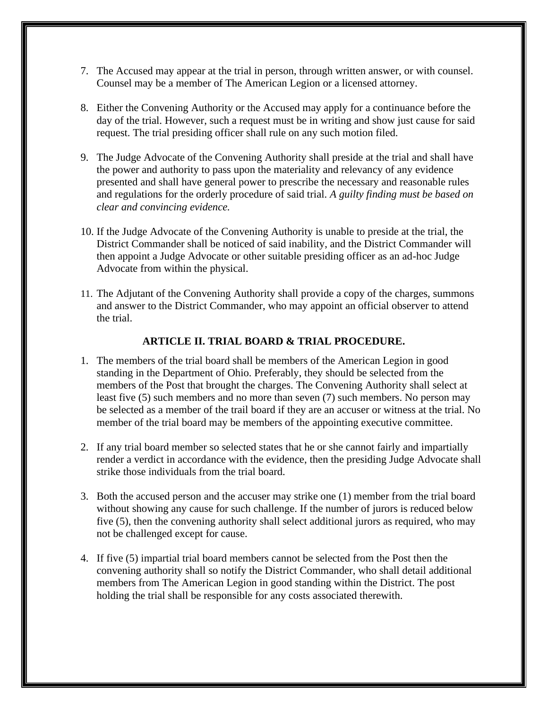- 7. The Accused may appear at the trial in person, through written answer, or with counsel. Counsel may be a member of The American Legion or a licensed attorney.
- 8. Either the Convening Authority or the Accused may apply for a continuance before the day of the trial. However, such a request must be in writing and show just cause for said request. The trial presiding officer shall rule on any such motion filed.
- 9. The Judge Advocate of the Convening Authority shall preside at the trial and shall have the power and authority to pass upon the materiality and relevancy of any evidence presented and shall have general power to prescribe the necessary and reasonable rules and regulations for the orderly procedure of said trial. *A guilty finding must be based on clear and convincing evidence.*
- 10. If the Judge Advocate of the Convening Authority is unable to preside at the trial, the District Commander shall be noticed of said inability, and the District Commander will then appoint a Judge Advocate or other suitable presiding officer as an ad-hoc Judge Advocate from within the physical.
- 11. The Adjutant of the Convening Authority shall provide a copy of the charges, summons and answer to the District Commander, who may appoint an official observer to attend the trial.

## **ARTICLE II. TRIAL BOARD & TRIAL PROCEDURE.**

- 1. The members of the trial board shall be members of the American Legion in good standing in the Department of Ohio. Preferably, they should be selected from the members of the Post that brought the charges. The Convening Authority shall select at least five (5) such members and no more than seven (7) such members. No person may be selected as a member of the trail board if they are an accuser or witness at the trial. No member of the trial board may be members of the appointing executive committee.
- 2. If any trial board member so selected states that he or she cannot fairly and impartially render a verdict in accordance with the evidence, then the presiding Judge Advocate shall strike those individuals from the trial board.
- 3. Both the accused person and the accuser may strike one (1) member from the trial board without showing any cause for such challenge. If the number of jurors is reduced below five (5), then the convening authority shall select additional jurors as required, who may not be challenged except for cause.
- 4. If five (5) impartial trial board members cannot be selected from the Post then the convening authority shall so notify the District Commander, who shall detail additional members from The American Legion in good standing within the District. The post holding the trial shall be responsible for any costs associated therewith.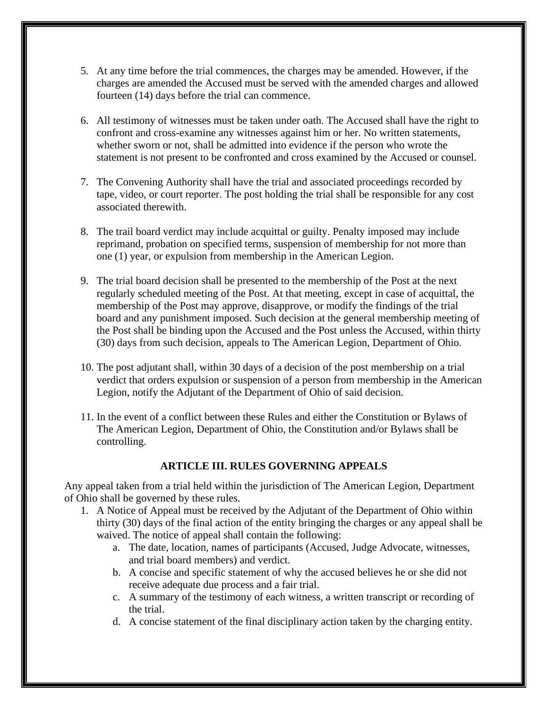- 5. At any time before the trial commences, the charges may be amended. However, if the charges are amended the Accused must be served with the amended charges and allowed fourteen (14) days before the trial can commence.
- 6. All testimony of witnesses must be taken under oath. The Accused shall have the right to confront and cross-examine any witnesses against him or her. No written statements, whether sworn or not, shall be admitted into evidence if the person who wrote the statement is not present to be confronted and cross examined by the Accused or counsel.
- 7. The Convening Authority shall have the trial and associated proceedings recorded by tape, video, or court reporter. The post holding the trial shall be responsible for any cost associated therewith.
- 8. The trail board verdict may include acquittal or guilty. Penalty imposed may include reprimand, probation on specified terms, suspension of membership for not more than one (1) year, or expulsion from membership in the American Legion.
- 9. The trial board decision shall be presented to the membership of the Post at the next regularly scheduled meeting of the Post. At that meeting, except in case of acquittal, the membership of the Post may approve, disapprove, or modify the findings of the trial board and any punishment imposed. Such decision at the general membership meeting of the Post shall be binding upon the Accused and the Post unless the Accused, within thirty (30) days from such decision, appeals to The American Legion, Department of Ohio.
- 10. The post adjutant shall, within 30 days of a decision of the post membership on a trial verdict that orders expulsion or suspension of a person from membership in the American Legion, notify the Adjutant of the Department of Ohio of said decision.
- 11. In the event of a conflict between these Rules and either the Constitution or Bylaws of The American Legion, Department of Ohio, the Constitution and/or Bylaws shall be controlling.

## **ARTICLE III. RULES GOVERNING APPEALS**

Any appeal taken from a trial held within the jurisdiction of The American Legion, Department of Ohio shall be governed by these rules.

- 1. A Notice of Appeal must be received by the Adjutant of the Department of Ohio within thirty (30) days of the final action of the entity bringing the charges or any appeal shall be waived. The notice of appeal shall contain the following:
	- a. The date, location, names of participants (Accused, Judge Advocate, witnesses, and trial board members) and verdict.
	- b. A concise and specific statement of why the accused believes he or she did not receive adequate due process and a fair trial.
	- c. A summary of the testimony of each witness, a written transcript or recording of the trial.
	- d. A concise statement of the final disciplinary action taken by the charging entity.